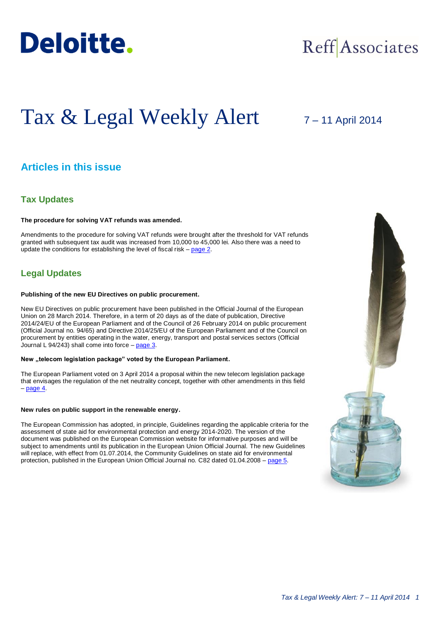

# Reff Associates

# Tax & Legal Weekly Alert

# 7 – 11 April 2014

# **Articles in this issue**

## **Tax Updates**

#### **The procedure for solving VAT refunds was amended.**

Amendments to the procedure for solving VAT refunds were brought after the threshold for VAT refunds granted with subsequent tax audit was increased from 10,000 to 45,000 lei. Also there was a need to update the conditions for establishing the level of fiscal risk – [page 2.](#page-1-0)

## **Legal Updates**

#### **Publishing of the new EU Directives on public procurement.**

New EU Directives on public procurement have been published in the Official Journal of the European Union on 28 March 2014. Therefore, in a term of 20 days as of the date of publication, Directive 2014/24/EU of the European Parliament and of the Council of 26 February 2014 on public procurement (Official Journal no. 94/65) and Directive 2014/25/EU of the European Parliament and of the Council on procurement by entities operating in the water, energy, transport and postal services sectors (Official Journal L 94/243) shall come into force – [page 3.](#page-2-0)

#### New "telecom legislation package" voted by the European Parliament.

The European Parliament voted on 3 April 2014 a proposal within the new telecom legislation package that envisages the regulation of the net neutrality concept, together with other amendments in this field – [page 4.](#page-3-0)

#### **New rules on public support in the renewable energy.**

The European Commission has adopted, in principle, Guidelines regarding the applicable criteria for the assessment of state aid for environmental protection and energy 2014-2020. The version of the document was published on the European Commission website for informative purposes and will be subject to amendments until its publication in the European Union Official Journal. The new Guidelines will replace, with effect from 01.07.2014, the Community Guidelines on state aid for environmental protection, published in the European Union Official Journal no. C82 dated 01.04.2008 – [page 5.](#page-4-0)

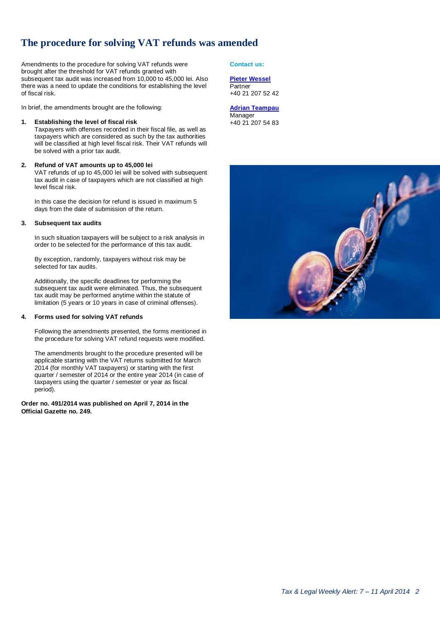# <span id="page-1-0"></span>**The procedure for solving VAT refunds was amended**

Amendments to the procedure for solving VAT refunds were brought after the threshold for VAT refunds granted with subsequent tax audit was increased from 10,000 to 45,000 lei. Also there was a need to update the conditions for establishing the level of fiscal risk.

In brief, the amendments brought are the following:

#### **1. Establishing the level of fiscal risk**

Taxpayers with offenses recorded in their fiscal file, as well as taxpayers which are considered as such by the tax authorities will be classified at high level fiscal risk. Their VAT refunds will be solved with a prior tax audit.

#### **2. Refund of VAT amounts up to 45,000 lei**

VAT refunds of up to 45,000 lei will be solved with subsequent tax audit in case of taxpayers which are not classified at high level fiscal risk.

In this case the decision for refund is issued in maximum 5 days from the date of submission of the return.

#### **3. Subsequent tax audits**

In such situation taxpayers will be subject to a risk analysis in order to be selected for the performance of this tax audit.

By exception, randomly, taxpayers without risk may be selected for tax audits.

Additionally, the specific deadlines for performing the subsequent tax audit were eliminated. Thus, the subsequent tax audit may be performed anytime within the statute of limitation (5 years or 10 years in case of criminal offenses).

#### **4. Forms used for solving VAT refunds**

Following the amendments presented, the forms mentioned in the procedure for solving VAT refund requests were modified.

The amendments brought to the procedure presented will be applicable starting with the VAT returns submitted for March 2014 (for monthly VAT taxpayers) or starting with the first quarter / semester of 2014 or the entire year 2014 (in case of taxpayers using the quarter / semester or year as fiscal period).

**Order no. 491/2014 was published on April 7, 2014 in the Official Gazette no. 249.**

**Contact us:**

#### **[Pieter Wessel](mailto:pwessel@deloittece.com) Partner**

+40 21 207 52 42

**[Adrian Teampau](mailto:ateampau@deloittece.com)** Manager +40 21 207 54 83

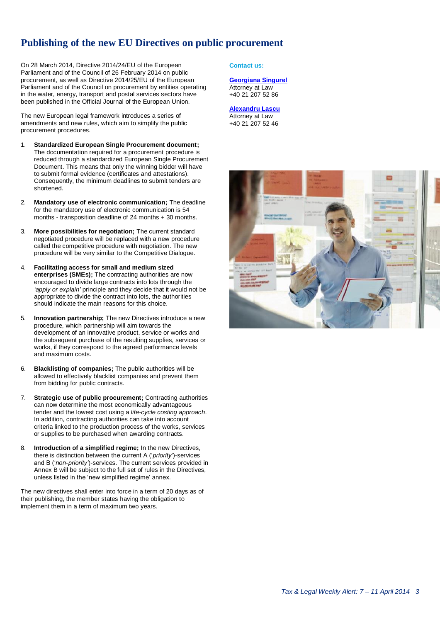# **Publishing of the new EU Directives on public procurement**

On 28 March 2014, Directive 2014/24/EU of the European Parliament and of the Council of 26 February 2014 on public procurement, as well as Directive 2014/25/EU of the European Parliament and of the Council on procurement by entities operating in the water, energy, transport and postal services sectors have been published in the Official Journal of the European Union.

The new European legal framework introduces a series of amendments and new rules, which aim to simplify the public procurement procedures.

- 1. **Standardized European Single Procurement document;** The documentation required for a procurement procedure is reduced through a standardized European Single Procurement Document. This means that only the winning bidder will have to submit formal evidence (certificates and attestations). Consequently, the minimum deadlines to submit tenders are shortened.
- 2. **Mandatory use of electronic communication;** The deadline for the mandatory use of electronic communication is 54 months - transposition deadline of 24 months + 30 months.
- 3. **More possibilities for negotiation;** The current standard negotiated procedure will be replaced with a new procedure called the competitive procedure with negotiation. The new procedure will be very similar to the Competitive Dialogue.
- 4. **Facilitating access for small and medium sized enterprises (SMEs);** The contracting authorities are now encouraged to divide large contracts into lots through the *'apply or explain'* principle and they decide that it would not be appropriate to divide the contract into lots, the authorities should indicate the main reasons for this choice.
- 5. **Innovation partnership;** The new Directives introduce a new procedure, which partnership will aim towards the development of an innovative product, service or works and the subsequent purchase of the resulting supplies, services or works, if they correspond to the agreed performance levels and maximum costs.
- 6. **Blacklisting of companies;** The public authorities will be allowed to effectively blacklist companies and prevent them from bidding for public contracts.
- 7. **Strategic use of public procurement;** Contracting authorities can now determine the most economically advantageous tender and the lowest cost using a *life-cycle costing approach*. In addition, contracting authorities can take into account criteria linked to the production process of the works, services or supplies to be purchased when awarding contracts.
- 8. **Introduction of a simplified regime;** In the new Directives, there is distinction between the current A ('*priority'*)-services and B ('*non-priority'*)-services. The current services provided in Annex B will be subject to the full set of rules in the Directives, unless listed in the 'new simplified regime' annex.

The new directives shall enter into force in a term of 20 days as of their publishing, the member states having the obligation to implement them in a term of maximum two years.

#### <span id="page-2-0"></span>**Contact us:**

#### **[Georgiana Singurel](mailto:gsingurel@deloittece.com)** Attorney at Law +40 21 207 52 86

#### **[Alexandru Lascu](mailto:alascu@deloittece.com)**

Attorney at Law +40 21 207 52 46

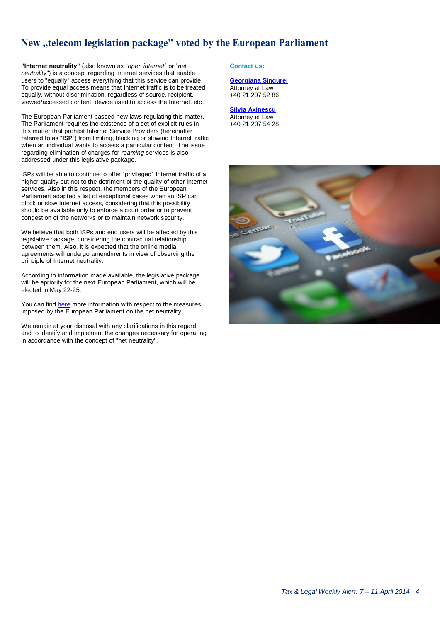# New "telecom legislation package" voted by the European Parliament

**"Internet neutrality"** (also known as "*open internet*" or "*net neutrality*") is a concept regarding Internet services that enable users to "equally" access everything that this service can provide. To provide equal access means that Internet traffic is to be treated equally, without discrimination, regardless of source, recipient, viewed/accessed content, device used to access the Internet, etc.

The European Parliament passed new laws regulating this matter. The Parliament requires the existence of a set of explicit rules in this matter that prohibit Internet Service Providers (hereinafter referred to as "**ISP**") from limiting, blocking or slowing Internet traffic when an individual wants to access a particular content. The issue regarding elimination of charges for *roaming* services is also addressed under this legislative package.

ISPs will be able to continue to offer "privileged" Internet traffic of a higher quality but not to the detriment of the quality of other internet services. Also in this respect, the members of the European Parliament adapted a list of exceptional cases when an ISP can block or slow Internet access, considering that this possibility should be available only to enforce a court order or to prevent congestion of the networks or to maintain network security.

We believe that both ISPs and end users will be affected by this legislative package, considering the contractual relationship between them. Also, it is expected that the online media agreements will undergo amendments in view of observing the principle of Internet neutrality.

According to information made available, the legislative package will be apriority for the next European Parliament, which will be elected in May 22-25.

You can find [here](http://www.europarl.europa.eu/news/en/news-room/content/20140331IPR41232/html/Ensure-open-access-for-internet-service-suppliers-and-ban-roaming-fees-say-MEPs) more information with respect to the measures imposed by the European Parliament on the net neutrality.

We remain at your disposal with any clarifications in this regard, and to identify and implement the changes necessary for operating in accordance with the concept of "net neutrality".

#### <span id="page-3-0"></span>**Contact us:**

### **[Georgiana Singurel](mailto:gsingurel@deloittece.com)**

Attorney at Law +40 21 207 52 86

#### **[Silvia Axinescu](mailto:maxinescu@deloittece.com)** Attorney at Law +40 21 207 54 28

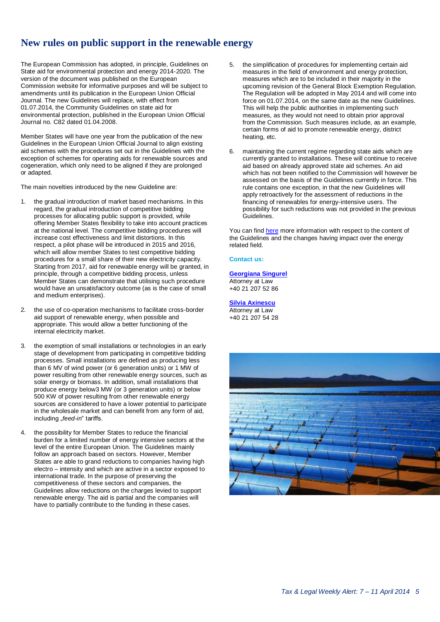# **New rules on public support in the renewable energy**

The European Commission has adopted, in principle, Guidelines on State aid for environmental protection and energy 2014-2020. The version of the document was published on the European Commission website for informative purposes and will be subject to amendments until its publication in the European Union Official Journal. The new Guidelines will replace, with effect from 01.07.2014, the Community Guidelines on state aid for environmental protection, published in the European Union Official Journal no. C82 dated 01.04.2008.

Member States will have one year from the publication of the new Guidelines in the European Union Official Journal to align existing aid schemes with the procedures set out in the Guidelines with the exception of schemes for operating aids for renewable sources and cogeneration, which only need to be aligned if they are prolonged or adapted.

The main novelties introduced by the new Guideline are:

- 1. the gradual introduction of market based mechanisms. In this regard, the gradual introduction of competitive bidding processes for allocating public support is provided, while offering Member States flexibility to take into account practices at the national level. The competitive bidding procedures will increase cost effectiveness and limit distortions. In this respect, a pilot phase will be introduced in 2015 and 2016, which will allow member States to test competitive bidding procedures for a small share of their new electricity capacity. Starting from 2017, aid for renewable energy will be granted, in principle, through a competitive bidding process, unless Member States can demonstrate that utilising such procedure would have an unsatisfactory outcome (as is the case of small and medium enterprises).
- 2. the use of co-operation mechanisms to facilitate cross-border aid support of renewable energy, when possible and appropriate. This would allow a better functioning of the internal electricity market.
- 3. the exemption of small installations or technologies in an early stage of development from participating in competitive bidding processes. Small installations are defined as producing less than 6 MV of wind power (or 6 generation units) or 1 MW of power resulting from other renewable energy sources, such as solar energy or biomass. In addition, small installations that produce energy below3 MW (or 3 generation units) or below 500 KW of power resulting from other renewable energy sources are considered to have a lower potential to participate in the wholesale market and can benefit from any form of aid, including "*feed-in*" tariffs.
- 4. the possibility for Member States to reduce the financial burden for a limited number of energy intensive sectors at the level of the entire European Union. The Guidelines mainly follow an approach based on sectors. However, Member States are able to grand reductions to companies having high electro – intensity and which are active in a sector exposed to international trade. In the purpose of preserving the competitiveness of these sectors and companies, the Guidelines allow reductions on the charges levied to support renewable energy. The aid is partial and the companies will have to partially contribute to the funding in these cases.
- <span id="page-4-0"></span>5. the simplification of procedures for implementing certain aid measures in the field of environment and energy protection, measures which are to be included in their majority in the upcoming revision of the General Block Exemption Regulation. The Regulation will be adopted in May 2014 and will come into force on 01.07.2014, on the same date as the new Guidelines. This will help the public authorities in implementing such measures, as they would not need to obtain prior approval from the Commission. Such measures include, as an example, certain forms of aid to promote renewable energy, district heating, etc.
- maintaining the current regime regarding state aids which are currently granted to installations. These will continue to receive aid based on already approved state aid schemes. An aid which has not been notified to the Commission will however be assessed on the basis of the Guidelines currently in force. This rule contains one exception, in that the new Guidelines will apply retroactively for the assessment of reductions in the financing of renewables for energy-intensive users. The possibility for such reductions was not provided in the previous Guidelines.

You can find [here](http://ec.europa.eu/competition/sectors/energy/legislation_en.html) more information with respect to the content of the Guidelines and the changes having impact over the energy related field.

#### **Contact us:**

**[Georgiana Singurel](mailto:gsingurel@deloittece.com)** Attorney at Law +40 21 207 52 86

**[Silvia Axinescu](mailto:maxinescu@deloittece.com)** Attorney at Law +40 21 207 54 28